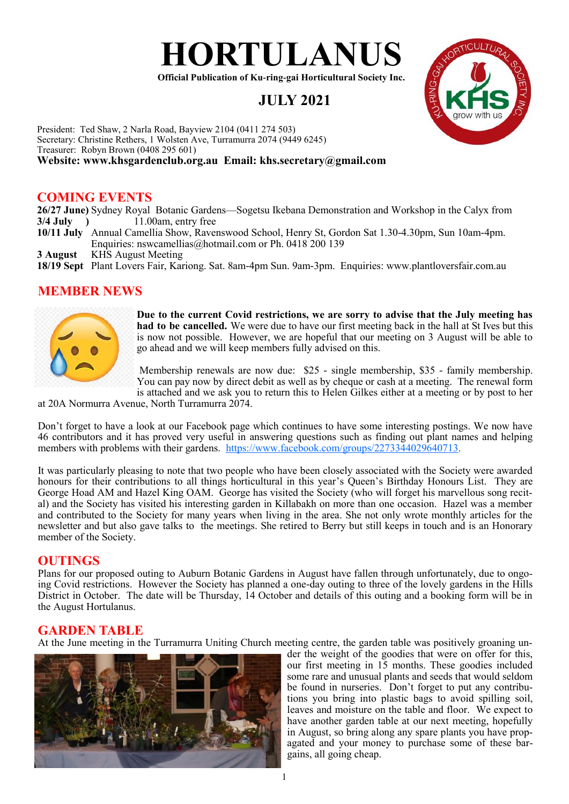

**Official Publication of Ku-ring-gai Horticultural Society Inc.**

# **JULY 2021**



## **COMING EVENTS**

**26/27 June)** Sydney Royal Botanic Gardens—Sogetsu Ikebana Demonstration and Workshop in the Calyx from **3/4 July )** 11.00am, entry free

- **10/11 July** Annual Camellia Show, Ravenswood School, Henry St, Gordon Sat 1.30-4.30pm, Sun 10am-4pm. Enquiries: nswcamellias@hotmail.com or Ph. 0418 200 139
- **3 August** KHS August Meeting
- **18/19 Sept** Plant Lovers Fair, Kariong. Sat. 8am-4pm Sun. 9am-3pm. Enquiries: www.plantloversfair.com.au

## **MEMBER NEWS**



**Due to the current Covid restrictions, we are sorry to advise that the July meeting has had to be cancelled.** We were due to have our first meeting back in the hall at St Ives but this is now not possible. However, we are hopeful that our meeting on 3 August will be able to go ahead and we will keep members fully advised on this.

Membership renewals are now due: \$25 - single membership, \$35 - family membership. You can pay now by direct debit as well as by cheque or cash at a meeting. The renewal form is attached and we ask you to return this to Helen Gilkes either at a meeting or by post to her

at 20A Normurra Avenue, North Turramurra 2074.

Don't forget to have a look at our Facebook page which continues to have some interesting postings. We now have 46 contributors and it has proved very useful in answering questions such as finding out plant names and helping members with problems with their gardens. <https://www.facebook.com/groups/2273344029640713>.

It was particularly pleasing to note that two people who have been closely associated with the Society were awarded honours for their contributions to all things horticultural in this year's Queen's Birthday Honours List. They are George Hoad AM and Hazel King OAM. George has visited the Society (who will forget his marvellous song recital) and the Society has visited his interesting garden in Killabakh on more than one occasion. Hazel was a member and contributed to the Society for many years when living in the area. She not only wrote monthly articles for the newsletter and but also gave talks to the meetings. She retired to Berry but still keeps in touch and is an Honorary member of the Society.

#### **OUTINGS**

Plans for our proposed outing to Auburn Botanic Gardens in August have fallen through unfortunately, due to ongoing Covid restrictions. However the Society has planned a one-day outing to three of the lovely gardens in the Hills District in October. The date will be Thursday, 14 October and details of this outing and a booking form will be in the August Hortulanus.

## **GARDEN TABLE**

At the June meeting in the Turramurra Uniting Church meeting centre, the garden table was positively groaning un-



der the weight of the goodies that were on offer for this, our first meeting in 15 months. These goodies included some rare and unusual plants and seeds that would seldom be found in nurseries. Don't forget to put any contributions you bring into plastic bags to avoid spilling soil, leaves and moisture on the table and floor. We expect to have another garden table at our next meeting, hopefully in August, so bring along any spare plants you have propagated and your money to purchase some of these bargains, all going cheap.

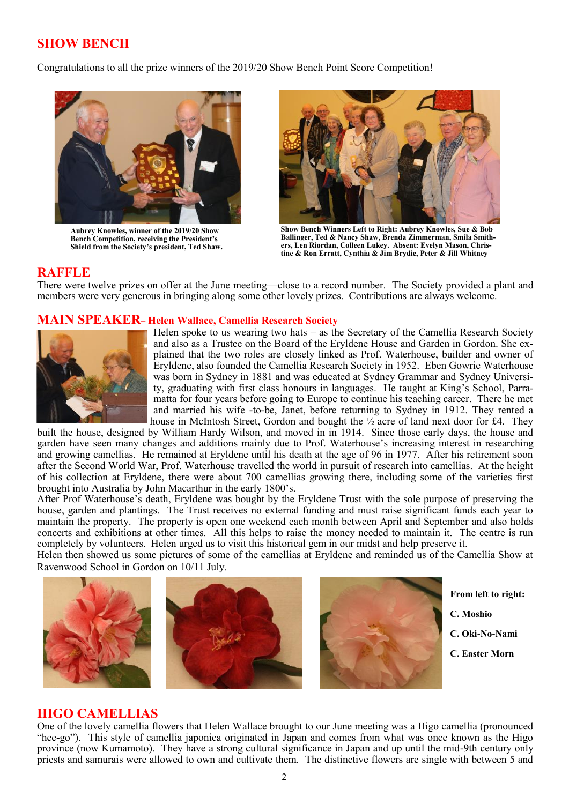# **SHOW BENCH**

Congratulations to all the prize winners of the 2019/20 Show Bench Point Score Competition!



**Aubrey Knowles, winner of the 2019/20 Show Bench Competition, receiving the President's Shield from the Society's president, Ted Shaw.**



**Show Bench Winners Left to Right: Aubrey Knowles, Sue & Bob Ballinger, Ted & Nancy Shaw, Brenda Zimmerman, Smila Smithers, Len Riordan, Colleen Lukey. Absent: Evelyn Mason, Christine & Ron Erratt, Cynthia & Jim Brydie, Peter & Jill Whitney**

## **RAFFLE**

There were twelve prizes on offer at the June meeting—close to a record number. The Society provided a plant and members were very generous in bringing along some other lovely prizes. Contributions are always welcome.

#### **MAIN SPEAKER– Helen Wallace, Camellia Research Society**



Helen spoke to us wearing two hats – as the Secretary of the Camellia Research Society and also as a Trustee on the Board of the Eryldene House and Garden in Gordon. She explained that the two roles are closely linked as Prof. Waterhouse, builder and owner of Eryldene, also founded the Camellia Research Society in 1952. Eben Gowrie Waterhouse was born in Sydney in 1881 and was educated at Sydney Grammar and Sydney University, graduating with first class honours in languages. He taught at King's School, Parramatta for four years before going to Europe to continue his teaching career. There he met and married his wife -to-be, Janet, before returning to Sydney in 1912. They rented a house in McIntosh Street, Gordon and bought the  $\frac{1}{2}$  acre of land next door for £4. They

built the house, designed by William Hardy Wilson, and moved in in 1914. Since those early days, the house and garden have seen many changes and additions mainly due to Prof. Waterhouse's increasing interest in researching and growing camellias. He remained at Eryldene until his death at the age of 96 in 1977. After his retirement soon after the Second World War, Prof. Waterhouse travelled the world in pursuit of research into camellias. At the height of his collection at Eryldene, there were about 700 camellias growing there, including some of the varieties first brought into Australia by John Macarthur in the early 1800's.

After Prof Waterhouse's death, Eryldene was bought by the Eryldene Trust with the sole purpose of preserving the house, garden and plantings. The Trust receives no external funding and must raise significant funds each year to maintain the property. The property is open one weekend each month between April and September and also holds concerts and exhibitions at other times. All this helps to raise the money needed to maintain it. The centre is run completely by volunteers. Helen urged us to visit this historical gem in our midst and help preserve it.

Helen then showed us some pictures of some of the camellias at Eryldene and reminded us of the Camellia Show at Ravenwood School in Gordon on 10/11 July.



**From left to right:**

- **C. Moshio**
- **C. Oki-No-Nami**
- **C. Easter Morn**

#### **HIGO CAMELLIAS**

One of the lovely camellia flowers that Helen Wallace brought to our June meeting was a Higo camellia (pronounced "hee-go"). This style of camellia japonica originated in Japan and comes from what was once known as the Higo province (now Kumamoto). They have a strong cultural significance in Japan and up until the mid-9th century only priests and samurais were allowed to own and cultivate them. The distinctive flowers are single with between 5 and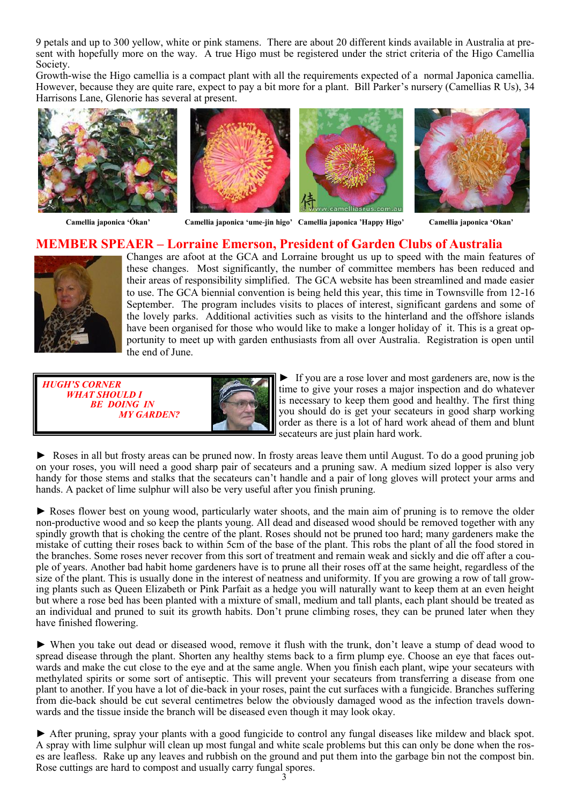9 petals and up to 300 yellow, white or pink stamens. There are about 20 different kinds available in Australia at present with hopefully more on the way. A true Higo must be registered under the strict criteria of the Higo Camellia Society.

Growth-wise the Higo camellia is a compact plant with all the requirements expected of a normal Japonica camellia. However, because they are quite rare, expect to pay a bit more for a plant. Bill Parker's nursery (Camellias R Us), 34 Harrisons Lane, Glenorie has several at present.









 **Camellia japonica 'Ókan' Camellia japonica 'ume-jin higo' Camellia japonica 'Happy Higo' Camellia japonica 'Okan'**

## **MEMBER SPEAER – Lorraine Emerson, President of Garden Clubs of Australia**



Changes are afoot at the GCA and Lorraine brought us up to speed with the main features of these changes. Most significantly, the number of committee members has been reduced and their areas of responsibility simplified. The GCA website has been streamlined and made easier to use. The GCA biennial convention is being held this year, this time in Townsville from 12-16 September. The program includes visits to places of interest, significant gardens and some of the lovely parks. Additional activities such as visits to the hinterland and the offshore islands have been organised for those who would like to make a longer holiday of it. This is a great opportunity to meet up with garden enthusiasts from all over Australia. Registration is open until the end of June.

| <b>HUGH'S CORNER</b><br><i><b>WHAT SHOULD I</b></i> |  |
|-----------------------------------------------------|--|
| <b>BE DOING IN</b>                                  |  |
| <b>MY GARDEN?</b>                                   |  |

► If you are a rose lover and most gardeners are, now is the time to give your roses a major inspection and do whatever is necessary to keep them good and healthy. The first thing you should do is get your secateurs in good sharp working order as there is a lot of hard work ahead of them and blunt secateurs are just plain hard work.

► Roses in all but frosty areas can be pruned now. In frosty areas leave them until August. To do a good pruning job on your roses, you will need a good sharp pair of secateurs and a pruning saw. A medium sized lopper is also very handy for those stems and stalks that the secateurs can't handle and a pair of long gloves will protect your arms and hands. A packet of lime sulphur will also be very useful after you finish pruning.

► Roses flower best on young wood, particularly water shoots, and the main aim of pruning is to remove the older non-productive wood and so keep the plants young. All dead and diseased wood should be removed together with any spindly growth that is choking the centre of the plant. Roses should not be pruned too hard; many gardeners make the mistake of cutting their roses back to within 5cm of the base of the plant. This robs the plant of all the food stored in the branches. Some roses never recover from this sort of treatment and remain weak and sickly and die off after a couple of years. Another bad habit home gardeners have is to prune all their roses off at the same height, regardless of the size of the plant. This is usually done in the interest of neatness and uniformity. If you are growing a row of tall growing plants such as Queen Elizabeth or Pink Parfait as a hedge you will naturally want to keep them at an even height but where a rose bed has been planted with a mixture of small, medium and tall plants, each plant should be treated as an individual and pruned to suit its growth habits. Don't prune climbing roses, they can be pruned later when they have finished flowering.

► When you take out dead or diseased wood, remove it flush with the trunk, don't leave a stump of dead wood to spread disease through the plant. Shorten any healthy stems back to a firm plump eye. Choose an eye that faces outwards and make the cut close to the eye and at the same angle. When you finish each plant, wipe your secateurs with methylated spirits or some sort of antiseptic. This will prevent your secateurs from transferring a disease from one plant to another. If you have a lot of die-back in your roses, paint the cut surfaces with a fungicide. Branches suffering from die-back should be cut several centimetres below the obviously damaged wood as the infection travels downwards and the tissue inside the branch will be diseased even though it may look okay.

► After pruning, spray your plants with a good fungicide to control any fungal diseases like mildew and black spot. A spray with lime sulphur will clean up most fungal and white scale problems but this can only be done when the roses are leafless. Rake up any leaves and rubbish on the ground and put them into the garbage bin not the compost bin. Rose cuttings are hard to compost and usually carry fungal spores.